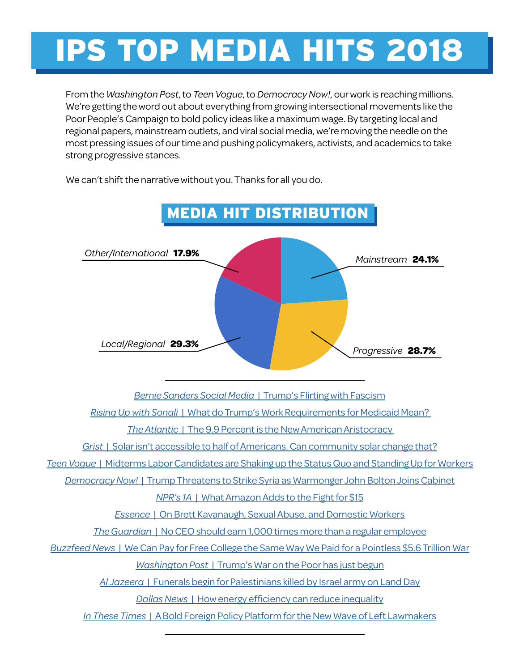# IPS TOP MEDIA HITS 2018

From the *Washington Post*, to *Teen Vogue*, to *Democracy Now!*, our work is reaching millions. We're getting the word out about everything from growing intersectional movements like the Poor People's Campaign to bold policy ideas like a maximum wage. By targeting local and regional papers, mainstream outlets, and viral social media, we're moving the needle on the most pressing issues of our time and pushing policymakers, activists, and academics to take strong progressive stances.



We can't shift the narrative without you. Thanks for all you do.

*Bernie Sanders Social Media* [| Trump's Flirting with Fascism](https://www.facebook.com/watch/?v=10157111586057908)

*Rising Up with Sonali* [| What do Trump's Work Requirements for Medicaid Mean?](http://www.risingupwithsonali.com/what-do-trumps-work-requirements-for-medicaid-mean/) 

*The Atlantic* [| The 9.9 Percent is the New American Aristocracy](https://www.theatlantic.com/magazine/archive/2018/06/the-birth-of-a-new-american-aristocracy/559130/) 

*Grist* [| Solar isn't accessible to half of Americans. Can community solar change that?](https://grist.org/article/solar-isnt-accessible-to-half-of-americans-can-community-solar-change-that/)

*Teen Vogue* [| Midterms Labor Candidates are Shaking up the Status Quo and Standing Up for Workers](https://www.teenvogue.com/story/midterms-labor-candidates)

*Democracy Now!* [| Trump Threatens to Strike Syria as Warmonger John Bolton Joins Cabinet](https://www.democracynow.org/2018/4/10/a_very_dangerous_moment_trump_threatens)

*NPR's 1A* [| What Amazon Adds to the Fight for \\$15](https://the1a.org/shows/2018-10-03/checking-on-the-fight-for-15)

*Essence* [| On Brett Kavanaugh, Sexual Abuse, and Domestic Workers](https://www.essence.com/news/on-brett-kavanaugh-sexual-abuse-and-domestic-workers/)

*The Guardian* [| No CEO should earn 1,000 times more than a regular employee](https://www.theguardian.com/business/2018/mar/18/america-ceo-worker-pay-gap-new-data-what-can-we-do)

*Buzzfeed News* [| We Can Pay for Free College the Same Way We Paid for a Pointless \\$5.6 Trillion War](https://www.buzzfeednews.com/article/lindsaykoshgarian/we-can-afford-free-college-medicare-for-all)

*Washington Post* [| Trump's War on the Poor has just begun](https://www.washingtonpost.com/opinions/trumps-war-on-the-poor-has-just-begun/2018/07/18/ae0a1b3c-8abc-11e8-85ae-511bc1146b0b_story.html)

*Al Jazeera* [| Funerals begin for Palestinians killed by Israel army on Land Day](https://www.aljazeera.com/news/2018/03/funerals-palestinians-killed-israel-army-land-day-180331064526623.html)

*Dallas News* [| How energy efficiency can reduce inequality](https://www.dallasnews.com/opinion/commentary/2018/09/25/how-energy-efficiency-can-reduce-inequality/)

*In These Times* [| A Bold Foreign Policy Platform for the New Wave of Left Lawmakers](http://inthesetimes.com/features/left_progressive_foreign_policy_platform_russia_china_middle_east.html)